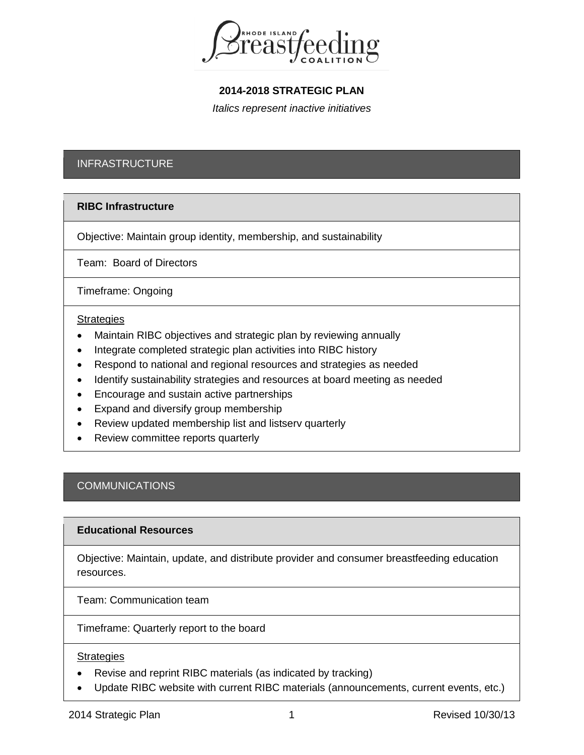

## **2014-2018 STRATEGIC PLAN**

*Italics represent inactive initiatives*

## INFRASTRUCTURE

### **RIBC Infrastructure**

Objective: Maintain group identity, membership, and sustainability

Team: Board of Directors

Timeframe: Ongoing

#### **Strategies**

- Maintain RIBC objectives and strategic plan by reviewing annually
- Integrate completed strategic plan activities into RIBC history
- Respond to national and regional resources and strategies as needed
- Identify sustainability strategies and resources at board meeting as needed
- Encourage and sustain active partnerships
- Expand and diversify group membership
- Review updated membership list and listserv quarterly
- Review committee reports quarterly

## **COMMUNICATIONS**

#### **Educational Resources**

Objective: Maintain, update, and distribute provider and consumer breastfeeding education resources.

Team: Communication team

Timeframe: Quarterly report to the board

#### **Strategies**

- Revise and reprint RIBC materials (as indicated by tracking)
- Update RIBC website with current RIBC materials (announcements, current events, etc.)

2014 Strategic Plan 1 2014 Strategic Plan 2014 Strategic Plan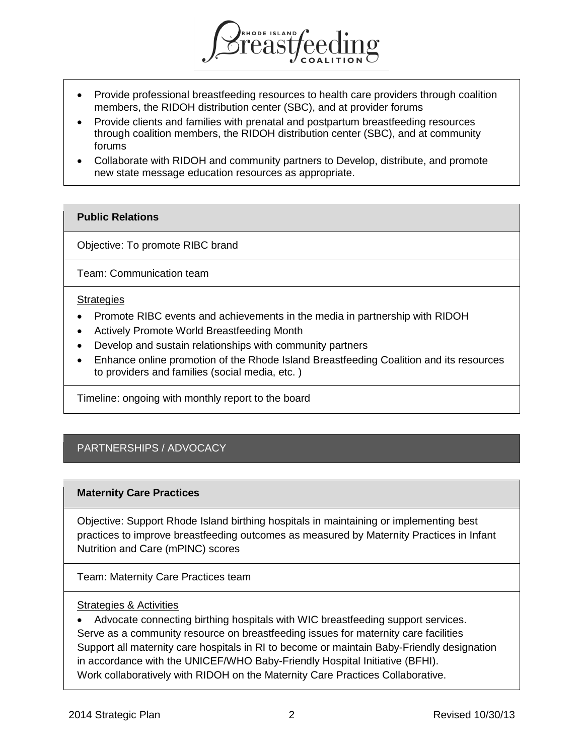

- Provide professional breastfeeding resources to health care providers through coalition members, the RIDOH distribution center (SBC), and at provider forums
- Provide clients and families with prenatal and postpartum breastfeeding resources through coalition members, the RIDOH distribution center (SBC), and at community forums
- Collaborate with RIDOH and community partners to Develop, distribute, and promote new state message education resources as appropriate.

## **Public Relations**

Objective: To promote RIBC brand

Team: Communication team

#### **Strategies**

- Promote RIBC events and achievements in the media in partnership with RIDOH
- Actively Promote World Breastfeeding Month
- Develop and sustain relationships with community partners
- Enhance online promotion of the Rhode Island Breastfeeding Coalition and its resources to providers and families (social media, etc. )

Timeline: ongoing with monthly report to the board

# PARTNERSHIPS / ADVOCACY

### **Maternity Care Practices**

Objective: Support Rhode Island birthing hospitals in maintaining or implementing best practices to improve breastfeeding outcomes as measured by Maternity Practices in Infant Nutrition and Care (mPINC) scores

Team: Maternity Care Practices team

### Strategies & Activities

• Advocate connecting birthing hospitals with WIC breastfeeding support services. Serve as a community resource on breastfeeding issues for maternity care facilities Support all maternity care hospitals in RI to become or maintain Baby-Friendly designation in accordance with the UNICEF/WHO Baby-Friendly Hospital Initiative (BFHI). Work collaboratively with RIDOH on the Maternity Care Practices Collaborative.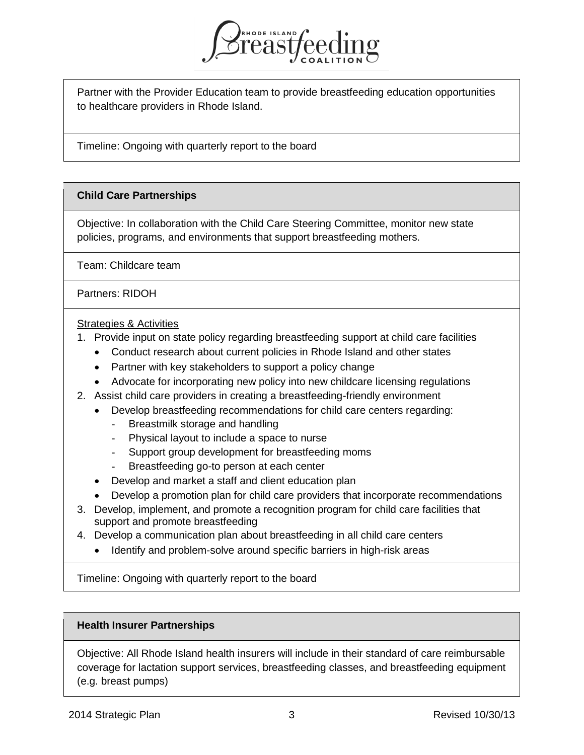

Partner with the Provider Education team to provide breastfeeding education opportunities to healthcare providers in Rhode Island.

Timeline: Ongoing with quarterly report to the board

## **Child Care Partnerships**

Objective: In collaboration with the Child Care Steering Committee, monitor new state policies, programs, and environments that support breastfeeding mothers.

Team: Childcare team

Partners: RIDOH

### Strategies & Activities

- 1. Provide input on state policy regarding breastfeeding support at child care facilities
	- Conduct research about current policies in Rhode Island and other states
	- Partner with key stakeholders to support a policy change
	- Advocate for incorporating new policy into new childcare licensing regulations
- 2. Assist child care providers in creating a breastfeeding-friendly environment
	- Develop breastfeeding recommendations for child care centers regarding:
		- Breastmilk storage and handling
		- Physical layout to include a space to nurse
		- Support group development for breastfeeding moms
		- Breastfeeding go-to person at each center
	- Develop and market a staff and client education plan
	- Develop a promotion plan for child care providers that incorporate recommendations
- 3. Develop, implement, and promote a recognition program for child care facilities that support and promote breastfeeding
- 4. Develop a communication plan about breastfeeding in all child care centers
	- Identify and problem-solve around specific barriers in high-risk areas

Timeline: Ongoing with quarterly report to the board

## **Health Insurer Partnerships**

Objective: All Rhode Island health insurers will include in their standard of care reimbursable coverage for lactation support services, breastfeeding classes, and breastfeeding equipment (e.g. breast pumps)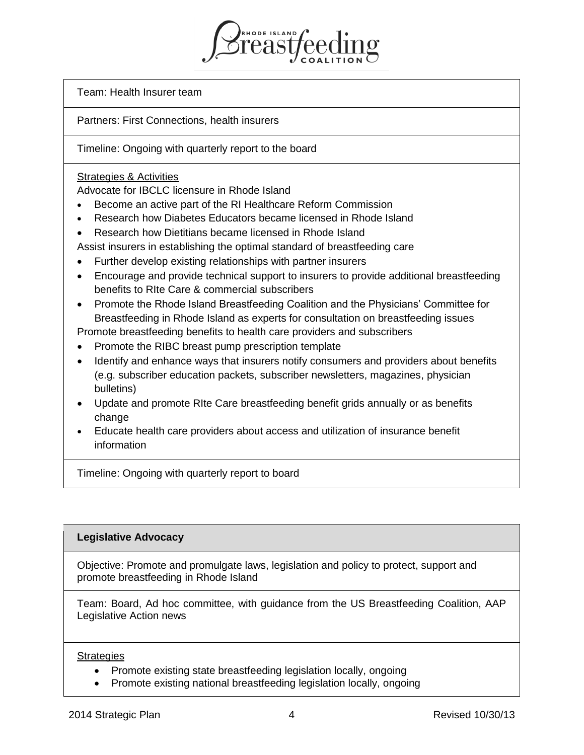**PRODE ISLAND** 

Team: Health Insurer team

Partners: First Connections, health insurers

Timeline: Ongoing with quarterly report to the board

## Strategies & Activities

Advocate for IBCLC licensure in Rhode Island

- Become an active part of the RI Healthcare Reform Commission
- Research how Diabetes Educators became licensed in Rhode Island
- Research how Dietitians became licensed in Rhode Island
- Assist insurers in establishing the optimal standard of breastfeeding care
- Further develop existing relationships with partner insurers
- Encourage and provide technical support to insurers to provide additional breastfeeding benefits to RIte Care & commercial subscribers
- Promote the Rhode Island Breastfeeding Coalition and the Physicians' Committee for Breastfeeding in Rhode Island as experts for consultation on breastfeeding issues

Promote breastfeeding benefits to health care providers and subscribers

- Promote the RIBC breast pump prescription template
- Identify and enhance ways that insurers notify consumers and providers about benefits (e.g. subscriber education packets, subscriber newsletters, magazines, physician bulletins)
- Update and promote RIte Care breastfeeding benefit grids annually or as benefits change
- Educate health care providers about access and utilization of insurance benefit information

Timeline: Ongoing with quarterly report to board

### **Legislative Advocacy**

Objective: Promote and promulgate laws, legislation and policy to protect, support and promote breastfeeding in Rhode Island

Team: Board, Ad hoc committee, with guidance from the US Breastfeeding Coalition, AAP Legislative Action news

### **Strategies**

- Promote existing state breastfeeding legislation locally, ongoing
- Promote existing national breastfeeding legislation locally, ongoing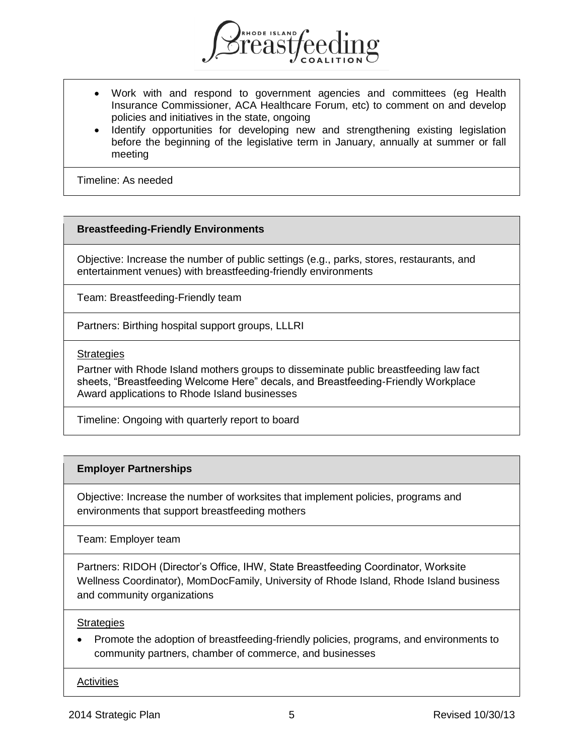

- Work with and respond to government agencies and committees (eg Health Insurance Commissioner, ACA Healthcare Forum, etc) to comment on and develop policies and initiatives in the state, ongoing
- Identify opportunities for developing new and strengthening existing legislation before the beginning of the legislative term in January, annually at summer or fall meeting

Timeline: As needed

### **Breastfeeding-Friendly Environments**

Objective: Increase the number of public settings (e.g., parks, stores, restaurants, and entertainment venues) with breastfeeding-friendly environments

Team: Breastfeeding-Friendly team

Partners: Birthing hospital support groups, LLLRI

#### **Strategies**

Partner with Rhode Island mothers groups to disseminate public breastfeeding law fact sheets, "Breastfeeding Welcome Here" decals, and Breastfeeding-Friendly Workplace Award applications to Rhode Island businesses

Timeline: Ongoing with quarterly report to board

### **Employer Partnerships**

Objective: Increase the number of worksites that implement policies, programs and environments that support breastfeeding mothers

Team: Employer team

Partners: RIDOH (Director's Office, IHW, State Breastfeeding Coordinator, Worksite Wellness Coordinator), MomDocFamily, University of Rhode Island, Rhode Island business and community organizations

#### **Strategies**

• Promote the adoption of breastfeeding-friendly policies, programs, and environments to community partners, chamber of commerce, and businesses

**Activities**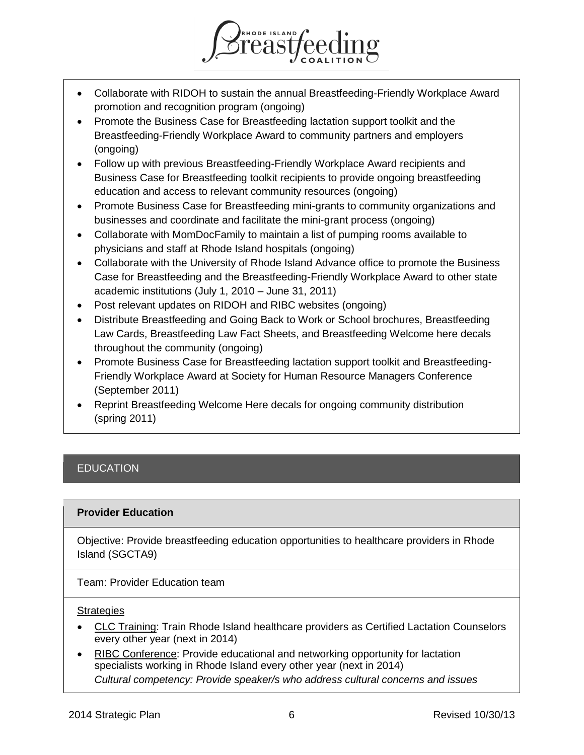

REAST CO

- Promote the Business Case for Breastfeeding lactation support toolkit and the Breastfeeding-Friendly Workplace Award to community partners and employers (ongoing)
- Follow up with previous Breastfeeding-Friendly Workplace Award recipients and Business Case for Breastfeeding toolkit recipients to provide ongoing breastfeeding education and access to relevant community resources (ongoing)
- Promote Business Case for Breastfeeding mini-grants to community organizations and businesses and coordinate and facilitate the mini-grant process (ongoing)
- Collaborate with MomDocFamily to maintain a list of pumping rooms available to physicians and staff at Rhode Island hospitals (ongoing)
- Collaborate with the University of Rhode Island Advance office to promote the Business Case for Breastfeeding and the Breastfeeding-Friendly Workplace Award to other state academic institutions (July 1, 2010 – June 31, 2011)
- Post relevant updates on RIDOH and RIBC websites (ongoing)
- Distribute Breastfeeding and Going Back to Work or School brochures, Breastfeeding Law Cards, Breastfeeding Law Fact Sheets, and Breastfeeding Welcome here decals throughout the community (ongoing)
- Promote Business Case for Breastfeeding lactation support toolkit and Breastfeeding-Friendly Workplace Award at Society for Human Resource Managers Conference (September 2011)
- Reprint Breastfeeding Welcome Here decals for ongoing community distribution (spring 2011)

# **EDUCATION**

### **Provider Education**

Objective: Provide breastfeeding education opportunities to healthcare providers in Rhode Island (SGCTA9)

Team: Provider Education team

#### **Strategies**

- CLC Training: Train Rhode Island healthcare providers as Certified Lactation Counselors every other year (next in 2014)
- RIBC Conference: Provide educational and networking opportunity for lactation specialists working in Rhode Island every other year (next in 2014) *Cultural competency: Provide speaker/s who address cultural concerns and issues*